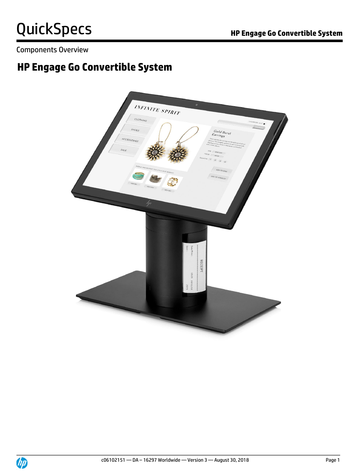Components Overview

## **HP Engage Go Convertible System**

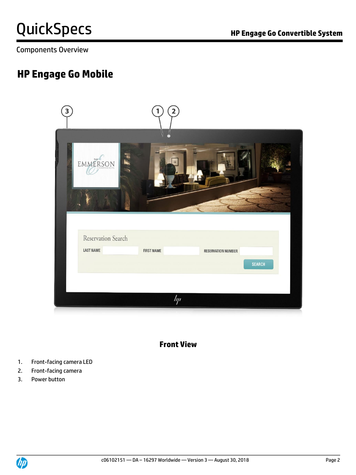Components Overview

## **HP Engage Go Mobile**



## **Front View**

- 1. Front-facing camera LED
- 2. Front-facing camera
- 3. Power button

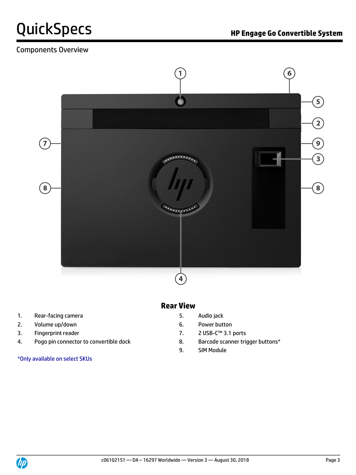## Components Overview



## **Rear View**

- 1. Rear-facing camera 6 and 1 and 1 and 1 and 1 and 1 and 1 and 1 and 1 and 1 and 1 and 1 and 1 and 1 and 1 and 1 and 1 and 1 and 1 and 1 and 1 and 1 and 1 and 1 and 1 and 1 and 1 and 1 and 1 and 1 and 1 and 1 and 1 and 1
- 2. Volume up/down example and the control of the control of the Power button
- 
- 4. Pogo pin connector to convertible dock and B. Barcode scanner trigger buttons\*

\*Only available on select SKUs

- 
- 
- 3. Fingerprint reader 7. 2 USB-C™ 3.1 ports
	-
	- 9. SIM Module

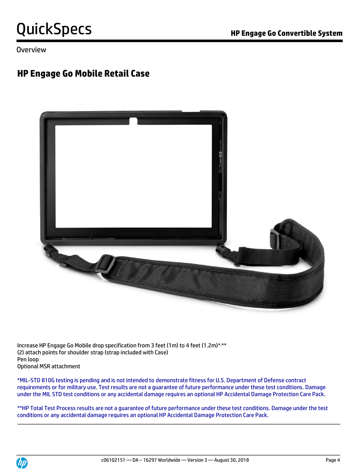Overview

## **HP Engage Go Mobile Retail Case**



Increase HP Engage Go Mobile drop specification from 3 feet (1m) to 4 feet (1.2m)\* ,\*\* (2) attach points for shoulder strap (strap included with Case) Pen loop Optional MSR attachment

\*MIL-STD 810G testing is pending and is not intended to demonstrate fitness for U.S. Department of Defense contract requirements or for military use. Test results are not a guarantee of future performance under these test conditions. Damage under the MIL STD test conditions or any accidental damage requires an optional HP Accidental Damage Protection Care Pack.

\*\*HP Total Test Process results are not a guarantee of future performance under these test conditions. Damage under the test conditions or any accidental damage requires an optional HP Accidental Damage Protection Care Pack.

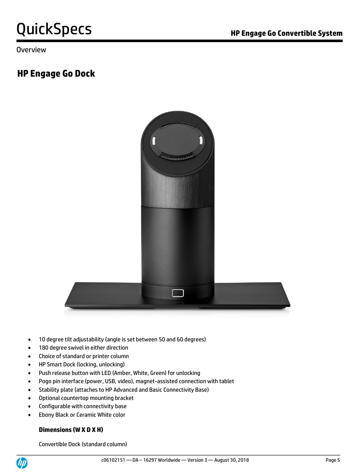Overview

## **HP Engage Go Dock**



- 10 degree tilt adjustability (angle is set between 50 and 60 degrees)
- 180 degree swivel in either direction
- Choice of standard or printer column
- HP Smart Dock (locking, unlocking)
- Push release button with LED (Amber, White, Green) for unlocking
- Pogo pin interface (power, USB, video), magnet-assisted connection with tablet
- Stability plate (attaches to HP Advanced and Basic Connectivity Base)
- Optional countertop mounting bracket
- Configurable with connectivity base
- Ebony Black or Ceramic White color

### **Dimensions (W X D X H)**

Convertible Dock (standard column)

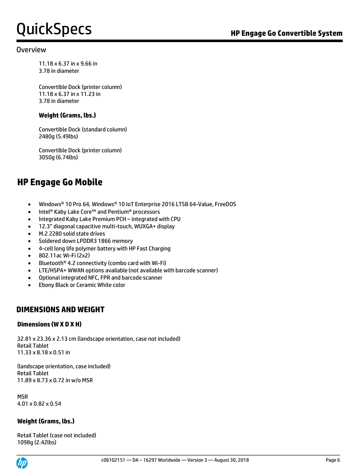#### Overview

11.18 x 6.37 in x 9.66 in 3.78 in diameter

Convertible Dock (printer column) 11.18 x 6.37 in x 11.23 in 3.78 in diameter

#### **Weight (Grams, lbs.)**

Convertible Dock (standard column) 2480g (5.49lbs)

Convertible Dock (printer column) 3050g (6.74lbs)

## **HP Engage Go Mobile**

- Windows® 10 Pro 64, Windows® 10 IoT Enterprise 2016 LTSB 64-Value, FreeDOS
- Intel® Kaby Lake Core™ and Pentium® processors
- Integrated Kaby Lake Premium PCH integrated with CPU
- 12.3" diagonal capacitive multi-touch, WUXGA+ display
- M.2 2280 solid state drives
- Soldered down LPDDR3 1866 memory
- 4-cell long life polymer battery with HP Fast Charging
- 802.11ac Wi-Fi (2x2)
- Bluetooth® 4.2 connectivity (combo card with Wi-Fi)
- LTE/HSPA+ WWAN options available (not available with barcode scanner)
- Optional integrated NFC, FPR and barcode scanner
- Ebony Black or Ceramic White color

### **DIMENSIONS AND WEIGHT**

#### **Dimensions (W X D X H)**

32.81 x 23.36 x 2.13 cm (landscape orientation, case not included) Retail Tablet 11.33 x 8.18 x 0.51 in

(landscape orientation, case included) Retail Tablet 11.89 x 8.73 x 0.72 in w/o MSR

MSR 4.01 x 0.82 x 0.54

#### **Weight (Grams, lbs.)**

Retail Tablet (case not included) 1098g (2.42lbs)

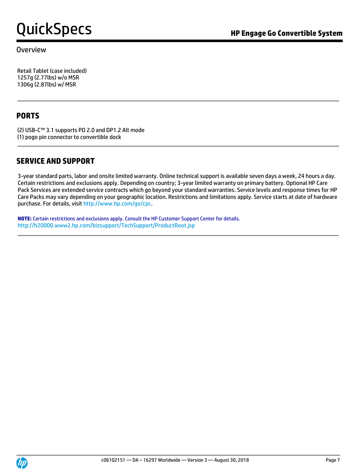### Overview

Retail Tablet (case included) 1257g (2.77lbs) w/o MSR 1306g (2.87lbs) w/ MSR

### **PORTS**

(2) USB-C™ 3.1 supports PD 2.0 and DP1.2 Alt mode (1) pogo pin connector to convertible dock

### **SERVICE AND SUPPORT**

3-year standard parts, labor and onsite limited warranty. Online technical support is available seven days a week, 24 hours a day. Certain restrictions and exclusions apply. Depending on country; 3-year limited warranty on primary battery. Optional HP Care Pack Services are extended service contracts which go beyond your standard warranties. Service levels and response times for HP Care Packs may vary depending on your geographic location. Restrictions and limitations apply. Service starts at date of hardware purchase. For details, visi[t http://www.hp.com/go/cpc.](http://www.hp.com/go/cpc)

**NOTE:** Certain restrictions and exclusions apply. Consult the HP Customer Support Center for details. <http://h20000.www2.hp.com/bizsupport/TechSupport/ProductRoot.jsp>

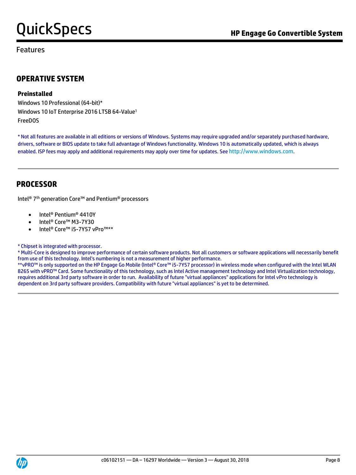Features

## **OPERATIVE SYSTEM**

#### **Preinstalled**

Windows 10 Professional (64-bit)\* Windows 10 IoT Enterprise 2016 LTSB 64-Value<sup>1</sup> FreeDOS

\* Not all features are available in all editions or versions of Windows. Systems may require upgraded and/or separately purchased hardware, drivers, software or BIOS update to take full advantage of Windows functionality. Windows 10 is automatically updated, which is always enabled. ISP fees may apply and additional requirements may apply over time for updates. See [http://www.windows.com](http://www.windows.com/).

### **PROCESSOR**

Intel® 7 th generation Core™ and Pentium® processors

- Intel® Pentium® 4410Y
- Intel® Core™ M3-7Y30
- Intel® Core™ i5-7Y57 vPro™\*\*

#### \* Chipset is integrated with processor.

\* Multi-Core is designed to improve performance of certain software products. Not all customers or software applications will necessarily benefit from use of this technology. Intel's numbering is not a measurement of higher performance.

\*\*vPRO™ is only supported on the HP Engage Go Mobile (Intel® Core™ i5-7Y57 processor) in wireless mode when configured with the Intel WLAN 8265 with vPRO™ Card. Some functionality of this technology, such as Intel Active management technology and Intel Virtualization technology, requires additional 3rd party software in order to run. Availability of future "virtual appliances" applications for Intel vPro technology is dependent on 3rd party software providers. Compatibility with future "virtual appliances" is yet to be determined.

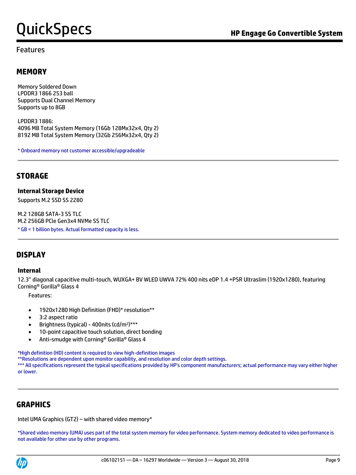### Features

### **MEMORY**

Memory Soldered Down LPDDR3 1866 253 ball Supports Dual Channel Memory Supports up to 8GB

LPDDR3 1886: 4096 MB Total System Memory (16Gb 128Mx32x4, Qty 2) 8192 MB Total System Memory (32Gb 256Mx32x4, Qty 2)

\* Onboard memory not customer accessible/upgradeable

### **STORAGE**

#### **Internal Storage Device**

Supports M.2 SSD SS 2280

M.2 128GB SATA-3 SS TLC M.2 256GB PCle Gen3x4 NVMe SS TLC \* GB = 1 billion bytes. Actual formatted capacity is less.

### **DISPLAY**

#### **Internal**

12.3" diagonal capacitive multi-touch, WUXGA+ BV WLED UWVA 72% 400 nits eDP 1.4 +PSR Ultraslim (1920x1280), featuring Corning® Gorilla® Glass 4

Features:

- 1920x1280 High Definition (FHD)\* resolution\*\*
- 3:2 aspect ratio
- Brightness (typical) 400nits (cd/m<sup>2</sup>)\*\*\*
- 10-point capacitive touch solution, direct bonding
- Anti-smudge with Corning® Gorilla® Glass 4

\*High definition (HD) content is required to view high-definition images

\*\*Resolutions are dependent upon monitor capability, and resolution and color depth settings.

\*\*\* All specifications represent the typical specifications provided by HP's component manufacturers; actual performance may vary either higher or lower.

### **GRAPHICS**

Intel UMA Graphics (GT2) – with shared video memory\*

\*Shared video memory (UMA) uses part of the total system memory for video performance. System memory dedicated to video performance is not available for other use by other programs.

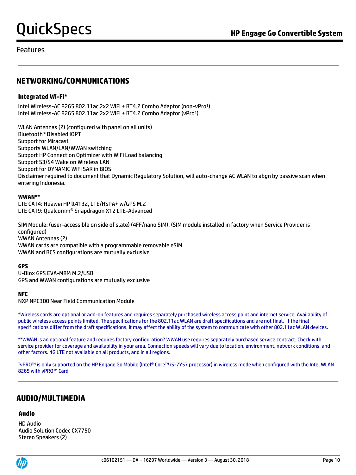### Features

## **NETWORKING/COMMUNICATIONS**

#### **Integrated Wi-Fi\***

Intel Wireless-AC 8265 802.11ac 2x2 WiFi + BT4.2 Combo Adaptor (non-vPro<sup>1</sup>) Intel Wireless-AC 8265 802.11ac 2x2 WiFi + BT4.2 Combo Adaptor (vPro<sup>1</sup>)

WLAN Antennas (2) (configured with panel on all units) Bluetooth® Disabled IOPT Support for Miracast Supports WLAN/LAN/WWAN switching Support HP Connection Optimizer with WiFi Load balancing Support S3/S4 Wake on Wireless LAN Support for DYNAMIC WiFi SAR in BIOS Disclaimer required to document that Dynamic Regulatory Solution, will auto-change AC WLAN to abgn by passive scan when entering Indonesia.

#### **WWAN\*\***

LTE CAT4: Huawei HP lt4132, LTE/HSPA+ w/GPS M.2 LTE CAT9: Qualcomm® Snapdragon X12 LTE-Advanced

SIM Module: (user-accessible on side of slate) (4FF/nano SIM). (SIM module installed in factory when Service Provider is configured) WWAN Antennas (2) WWAN cards are compatible with a programmable removable eSIM WWAN and BCS configurations are mutually exclusive

#### **GPS**

U-Blox GPS EVA-M8M M.2/USB GPS and WWAN configurations are mutually exclusive

#### **NFC**

NXP NPC300 Near Field Communication Module

\*Wireless cards are optional or add-on features and requires separately purchased wireless access point and internet service. Availability of public wireless access points limited. The specifications for the 802.11ac WLAN are draft specifications and are not final. If the final specifications differ from the draft specifications, it may affect the ability of the system to communicate with other 802.11ac WLAN devices.

\*\*WWAN is an optional feature and requires factory configuration? WWAN use requires separately purchased service contract. Check with service provider for coverage and availability in your area. Connection speeds will vary due to location, environment, network conditions, and other factors. 4G LTE not available on all products, and in all regions.

<sup>1</sup>vPRO™ is only supported on the HP Engage Go Mobile (Intel® Core™ i5-7Y57 processor) in wireless mode when configured with the Intel WLAN 8265 with vPRO™ Card

### **AUDIO/MULTIMEDIA**

#### **Audio**

HD Audio Audio Solution Codec CX7750 Stereo Speakers (2)

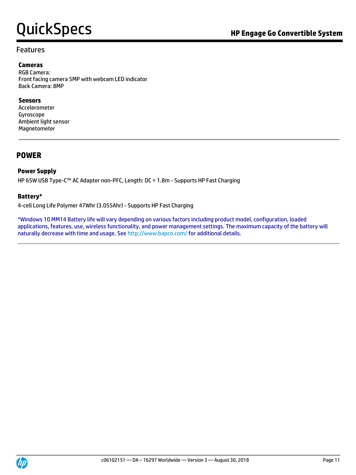### Features

#### **Cameras**

RGB Camera: Front facing camera 5MP with webcam LED indicator Back Camera: 8MP

#### **Sensors**

Accelerometer Gyroscope Ambient light sensor Magnetometer

### **POWER**

### **Power Supply**

HP 65W USB Type-C™ AC Adapter non-PFC, Length: DC = 1.8m - Supports HP Fast Charging

#### **Battery\***

4-cell Long Life Polymer 47Whr (3.055Ahr) - Supports HP Fast Charging

\*Windows 10 MM14 Battery life will vary depending on various factors including product model, configuration, loaded applications, features, use, wireless functionality, and power management settings. The maximum capacity of the battery will naturally decrease with time and usage. See<http://www.bapco.com/> for additional details.

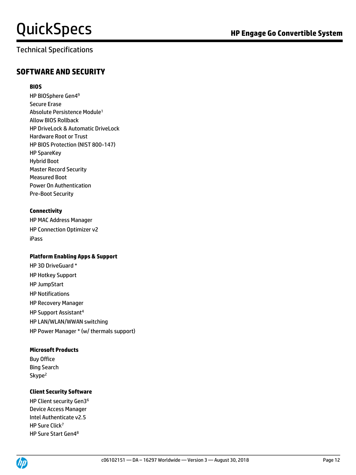## Technical Specifications

#### **BIOS**

HP BIOSphere Gen4 9 Secure Erase Absolute Persistence Module<sup>1</sup> Allow BIOS Rollback HP DriveLock & Automatic DriveLock Hardware Root or Trust HP BIOS Protection (NIST 800-147) HP SpareKey Hybrid Boot Master Record Security Measured Boot Power On Authentication Pre-Boot Security

#### **Connectivity**

HP MAC Address Manager HP Connection Optimizer v2 iPass

#### **Platform Enabling Apps & Support**

HP 3D DriveGuard \* HP Hotkey Support HP JumpStart HP Notifications HP Recovery Manager HP Support Assistant<sup>4</sup> HP LAN/WLAN/WWAN switching HP Power Manager \* (w/ thermals support)

#### **Microsoft Products**

Buy Office Bing Search Skype<sup>2</sup>

#### **Client Security Software**

HP Client security Gen3<sup>6</sup> Device Access Manager Intel Authenticate v2.5 HP Sure Click<sup>7</sup> HP Sure Start Gen48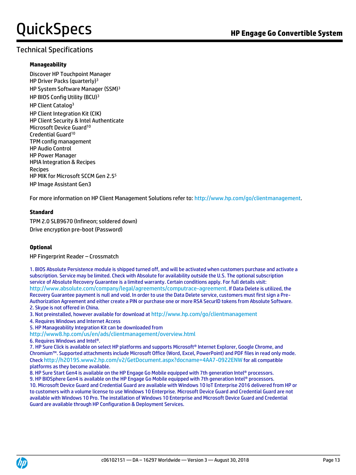### Technical Specifications

#### **Manageability**

Discover HP Touchpoint Manager HP Driver Packs (quarterly)<sup>3</sup> HP System Software Manager (SSM)<sup>3</sup> HP BIOS Config Utility (BCU)<sup>3</sup> HP Client Catalog<sup>3</sup> HP Client Integration Kit (CIK) HP Client Security & Intel Authenticate Microsoft Device Guard<sup>10</sup> Credential Guard<sup>10</sup> TPM config management HP Audio Control HP Power Manager HPIA Integration & Recipes Recipes HP MIK for Microsoft SCCM Gen 2.5<sup>5</sup> HP Image Assistant Gen3

For more information on HP Client Management Solutions refer to[: http://www.hp.com/go/clientmanagement.](http://www.hp.com/go/clientmanagement)

#### **Standard**

TPM 2.0 SLB9670 (Infineon; soldered down) Drive encryption pre-boot (Password)

#### **Optional**

HP Fingerprint Reader – Crossmatch

1. BIOS Absolute Persistence module is shipped turned off, and will be activated when customers purchase and activate a subscription. Service may be limited. Check with Absolute for availability outside the U.S. The optional subscription service of Absolute Recovery Guarantee is a limited warranty. Certain conditions apply. For full details visit: <http://www.absolute.com/company/legal/agreements/computrace-agreement>. If Data Delete is utilized, the Recovery Guarantee payment is null and void. In order to use the Data Delete service, customers must first sign a Pre-Authorization Agreement and either create a PIN or purchase one or more RSA SecurID tokens from Absolute Software. 2. Skype is not offered in China.

3. Not preinstalled, however available for download at <http://www.hp.com/go/clientmanagement>

4. Requires Windows and Internet Access

5. HP Manageability Integration Kit can be downloaded from

<http://www8.hp.com/us/en/ads/clientmanagement/overview.html>

6. Requires Windows and Intel®.

7. HP Sure Click is available on select HP platforms and supports Microsoft® Internet Explorer, Google Chrome, and Chromium™. Supported attachments include Microsoft Office (Word, Excel, PowerPoint) and PDF files in read only mode. Check <http://h20195.www2.hp.com/v2/GetDocument.aspx?docname=4AA7-0922ENW> for all compatible platforms as they become available.

8. HP Sure Start Gen4 is available on the HP Engage Go Mobile equipped with 7th generation Intel® processors. 9. HP BIOSphere Gen4 is available on the HP Engage Go Mobile equipped with 7th generation Intel® processors. 10. Microsoft Device Guard and Credential Guard are available with Windows 10 IoT Enterprise 2016 delivered from HP or to customers with a volume license to use Windows 10 Enterprise. Microsoft Device Guard and Credential Guard are not available with Windows 10 Pro. The installation of Windows 10 Enterprise and Microsoft Device Guard and Credential Guard are available through HP Configuration & Deployment Services.

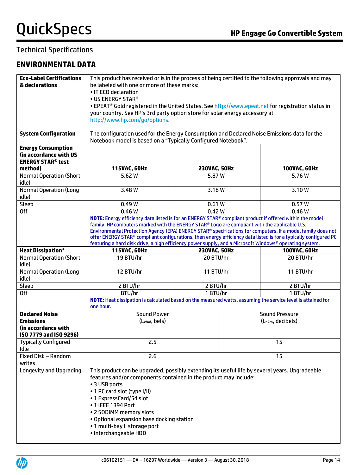## Technical Specifications

## **ENVIRONMENTAL DATA**

| <b>Eco-Label Certifications</b> | This product has received or is in the process of being certified to the following approvals and may             |                      |                               |                      |
|---------------------------------|------------------------------------------------------------------------------------------------------------------|----------------------|-------------------------------|----------------------|
| & declarations                  | be labeled with one or more of these marks:                                                                      |                      |                               |                      |
|                                 | • IT ECO declaration                                                                                             |                      |                               |                      |
|                                 | • US ENERGY STAR®                                                                                                |                      |                               |                      |
|                                 | • EPEAT® Gold registered in the United States. See http://www.epeat.net for registration status in               |                      |                               |                      |
|                                 | your country. See HP's 3rd party option store for solar energy accessory at                                      |                      |                               |                      |
|                                 | http://www.hp.com/go/options.                                                                                    |                      |                               |                      |
|                                 |                                                                                                                  |                      |                               |                      |
| <b>System Configuration</b>     | The configuration used for the Energy Consumption and Declared Noise Emissions data for the                      |                      |                               |                      |
|                                 | Notebook model is based on a "Typically Configured Notebook".                                                    |                      |                               |                      |
| <b>Energy Consumption</b>       |                                                                                                                  |                      |                               |                      |
| (in accordance with US          |                                                                                                                  |                      |                               |                      |
| <b>ENERGY STAR® test</b>        |                                                                                                                  |                      |                               |                      |
| method)                         | 115VAC, 60Hz                                                                                                     | 230VAC, 50Hz         |                               | 100VAC, 60Hz         |
| <b>Normal Operation (Short</b>  | 5.62 W                                                                                                           | 5.87 W               |                               | 5.76W                |
| idle)                           |                                                                                                                  |                      |                               |                      |
| <b>Normal Operation (Long</b>   | 3.48 W                                                                                                           | 3.18W                |                               | 3.10W                |
| idle)                           |                                                                                                                  |                      |                               |                      |
| Sleep                           | 0.49W                                                                                                            | 0.61W                |                               | 0.57W                |
| Off                             | 0.46W                                                                                                            | 0.42W                |                               | 0.46W                |
|                                 | NOTE: Energy efficiency data listed is for an ENERGY STAR® compliant product if offered within the model         |                      |                               |                      |
|                                 | family. HP computers marked with the ENERGY STAR® Logo are compliant with the applicable U.S.                    |                      |                               |                      |
|                                 | Environmental Protection Agency (EPA) ENERGY STAR® specifications for computers. If a model family does not      |                      |                               |                      |
|                                 | offer ENERGY STAR® compliant configurations, then energy efficiency data listed is for a typically configured PC |                      |                               |                      |
|                                 | featuring a hard disk drive, a high efficiency power supply, and a Microsoft Windows® operating system.          |                      |                               |                      |
| <b>Heat Dissipation*</b>        | 115VAC, 60Hz                                                                                                     | 230VAC, 50Hz         |                               | 100VAC, 60Hz         |
| <b>Normal Operation (Short</b>  | 19 BTU/hr                                                                                                        | 20 BTU/hr            |                               | 20 BTU/hr            |
| idle)                           |                                                                                                                  |                      |                               |                      |
| <b>Normal Operation (Long</b>   | 12 BTU/hr                                                                                                        | 11 BTU/hr            |                               | 11 BTU/hr            |
| idle)                           |                                                                                                                  |                      |                               |                      |
| Sleep<br>Off                    | 2 BTU/hr<br>BTU/hr                                                                                               | 2 BTU/hr<br>1 BTU/hr |                               | 2 BTU/hr<br>1 BTU/hr |
|                                 | NOTE: Heat dissipation is calculated based on the measured watts, assuming the service level is attained for     |                      |                               |                      |
|                                 | one hour.                                                                                                        |                      |                               |                      |
| <b>Declared Noise</b>           | <b>Sound Power</b>                                                                                               |                      | <b>Sound Pressure</b>         |                      |
| <b>Emissions</b>                | (L <sub>WAd</sub> , bels)                                                                                        |                      | (L <sub>DAm</sub> , decibels) |                      |
| (in accordance with             |                                                                                                                  |                      |                               |                      |
| ISO 7779 and ISO 9296)          |                                                                                                                  |                      |                               |                      |
| Typically Configured -          | 2.5                                                                                                              |                      |                               | 15                   |
| Idle                            |                                                                                                                  |                      |                               |                      |
| Fixed Disk - Random             | 2.6                                                                                                              |                      |                               | 15                   |
| writes                          |                                                                                                                  |                      |                               |                      |
| <b>Longevity and Upgrading</b>  | This product can be upgraded, possibly extending its useful life by several years. Upgradeable                   |                      |                               |                      |
|                                 | features and/or components contained in the product may include:<br>• 3 USB ports                                |                      |                               |                      |
|                                 |                                                                                                                  |                      |                               |                      |
|                                 | • 1 PC card slot (type I/II)                                                                                     |                      |                               |                      |
|                                 | • 1 ExpressCard/54 slot<br>• 1 IEEE 1394 Port                                                                    |                      |                               |                      |
|                                 |                                                                                                                  |                      |                               |                      |
|                                 | • 2 SODIMM memory slots                                                                                          |                      |                               |                      |
|                                 | . Optional expansion base docking station                                                                        |                      |                               |                      |
|                                 | . 1 multi-bay II storage port                                                                                    |                      |                               |                      |
|                                 | · Interchangeable HDD                                                                                            |                      |                               |                      |
|                                 |                                                                                                                  |                      |                               |                      |

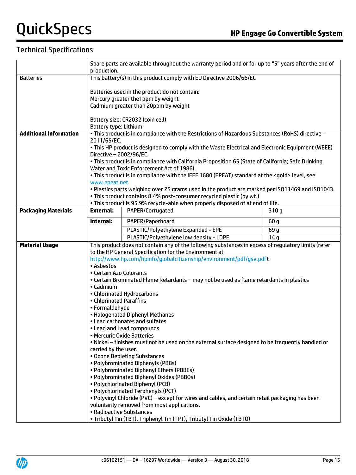## Technical Specifications

|                               | Spare parts are available throughout the warranty period and or for up to "5" years after the end of<br>production. |                                                                                                     |                  |
|-------------------------------|---------------------------------------------------------------------------------------------------------------------|-----------------------------------------------------------------------------------------------------|------------------|
| <b>Batteries</b>              | This battery(s) in this product comply with EU Directive 2006/66/EC                                                 |                                                                                                     |                  |
|                               |                                                                                                                     |                                                                                                     |                  |
|                               |                                                                                                                     | Batteries used in the product do not contain:                                                       |                  |
|                               |                                                                                                                     | Mercury greater the 1ppm by weight                                                                  |                  |
|                               |                                                                                                                     | Cadmium greater than 20ppm by weight                                                                |                  |
|                               |                                                                                                                     |                                                                                                     |                  |
|                               |                                                                                                                     | Battery size: CR2032 (coin cell)                                                                    |                  |
| <b>Additional Information</b> | <b>Battery type: Lithium</b>                                                                                        |                                                                                                     |                  |
|                               | 2011/65/EC.                                                                                                         | . This product is in compliance with the Restrictions of Hazardous Substances (RoHS) directive -    |                  |
|                               |                                                                                                                     | . This HP product is designed to comply with the Waste Electrical and Electronic Equipment (WEEE)   |                  |
|                               | Directive - 2002/96/EC.                                                                                             |                                                                                                     |                  |
|                               |                                                                                                                     | . This product is in compliance with California Proposition 65 (State of California; Safe Drinking  |                  |
|                               |                                                                                                                     | Water and Toxic Enforcement Act of 1986).                                                           |                  |
|                               |                                                                                                                     | . This product is in compliance with the IEEE 1680 (EPEAT) standard at the <gold> level, see</gold> |                  |
|                               | www.epeat.net                                                                                                       |                                                                                                     |                  |
|                               |                                                                                                                     | . Plastics parts weighing over 25 grams used in the product are marked per ISO11469 and ISO1043.    |                  |
|                               |                                                                                                                     | . This product contains 8.4% post-consumer recycled plastic (by wt.)                                |                  |
| <b>Packaging Materials</b>    | <b>External:</b>                                                                                                    | . This product is 95.9% recycle-able when properly disposed of at end of life.                      |                  |
|                               |                                                                                                                     | PAPER/Corrugated                                                                                    | 310 <sub>g</sub> |
|                               | Internal:                                                                                                           | PAPER/Paperboard                                                                                    | 60 <sub>g</sub>  |
|                               |                                                                                                                     | PLASTIC/Polyethylene Expanded - EPE                                                                 | 69 g             |
|                               |                                                                                                                     | PLASTIC/Polyethylene low density - LDPE                                                             | 14q              |
| <b>Material Usage</b>         |                                                                                                                     | This product does not contain any of the following substances in excess of regulatory limits (refer |                  |
|                               |                                                                                                                     | to the HP General Specification for the Environment at                                              |                  |
|                               |                                                                                                                     | http://www.hp.com/hpinfo/globalcitizenship/environment/pdf/gse.pdf):                                |                  |
|                               | • Asbestos<br>• Certain Azo Colorants                                                                               |                                                                                                     |                  |
|                               |                                                                                                                     | . Certain Brominated Flame Retardants - may not be used as flame retardants in plastics             |                  |
|                               | • Cadmium                                                                                                           |                                                                                                     |                  |
|                               |                                                                                                                     | • Chlorinated Hydrocarbons                                                                          |                  |
|                               | • Chlorinated Paraffins                                                                                             |                                                                                                     |                  |
|                               | • Formaldehyde                                                                                                      |                                                                                                     |                  |
|                               | • Halogenated Diphenyl Methanes                                                                                     |                                                                                                     |                  |
|                               | • Lead carbonates and sulfates                                                                                      |                                                                                                     |                  |
|                               | • Lead and Lead compounds<br>• Mercuric Oxide Batteries                                                             |                                                                                                     |                  |
|                               | . Nickel – finishes must not be used on the external surface designed to be frequently handled or                   |                                                                                                     |                  |
|                               | carried by the user.                                                                                                |                                                                                                     |                  |
|                               | . Ozone Depleting Substances                                                                                        |                                                                                                     |                  |
|                               | • Polybrominated Biphenyls (PBBs)                                                                                   |                                                                                                     |                  |
|                               | . Polybrominated Biphenyl Ethers (PBBEs)                                                                            |                                                                                                     |                  |
|                               | • Polybrominated Biphenyl Oxides (PBBOs)                                                                            |                                                                                                     |                  |
|                               | • Polychlorinated Biphenyl (PCB)                                                                                    |                                                                                                     |                  |
|                               | • Polychlorinated Terphenyls (PCT)                                                                                  |                                                                                                     |                  |
|                               | . Polyvinyl Chloride (PVC) - except for wires and cables, and certain retail packaging has been                     |                                                                                                     |                  |
|                               | voluntarily removed from most applications.<br>• Radioactive Substances                                             |                                                                                                     |                  |
|                               | . Tributyl Tin (TBT), Triphenyl Tin (TPT), Tributyl Tin Oxide (TBTO)                                                |                                                                                                     |                  |
|                               |                                                                                                                     |                                                                                                     |                  |

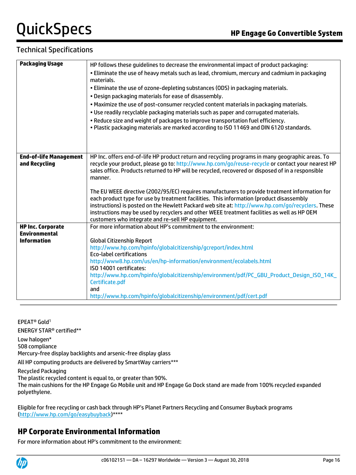## Technical Specifications

| <b>Packaging Usage</b>        | HP follows these guidelines to decrease the environmental impact of product packaging:                                                                                                                 |
|-------------------------------|--------------------------------------------------------------------------------------------------------------------------------------------------------------------------------------------------------|
|                               | . Eliminate the use of heavy metals such as lead, chromium, mercury and cadmium in packaging<br>materials.                                                                                             |
|                               | . Eliminate the use of ozone-depleting substances (ODS) in packaging materials.                                                                                                                        |
|                               |                                                                                                                                                                                                        |
|                               | . Design packaging materials for ease of disassembly.                                                                                                                                                  |
|                               | . Maximize the use of post-consumer recycled content materials in packaging materials.                                                                                                                 |
|                               | . Use readily recyclable packaging materials such as paper and corrugated materials.                                                                                                                   |
|                               | . Reduce size and weight of packages to improve transportation fuel efficiency.                                                                                                                        |
|                               | . Plastic packaging materials are marked according to ISO 11469 and DIN 6120 standards.                                                                                                                |
|                               |                                                                                                                                                                                                        |
|                               |                                                                                                                                                                                                        |
|                               |                                                                                                                                                                                                        |
| <b>End-of-life Management</b> | HP Inc. offers end-of-life HP product return and recycling programs in many geographic areas. To                                                                                                       |
| and Recycling                 | recycle your product, please go to: http://www.hp.com/go/reuse-recycle or contact your nearest HP<br>sales office. Products returned to HP will be recycled, recovered or disposed of in a responsible |
|                               | manner.                                                                                                                                                                                                |
|                               |                                                                                                                                                                                                        |
|                               | The EU WEEE directive (2002/95/EC) requires manufacturers to provide treatment information for                                                                                                         |
|                               | each product type for use by treatment facilities. This information (product disassembly                                                                                                               |
|                               | instructions) is posted on the Hewlett Packard web site at: http://www.hp.com/go/recyclers. These                                                                                                      |
|                               | instructions may be used by recyclers and other WEEE treatment facilities as well as HP OEM                                                                                                            |
|                               | customers who integrate and re-sell HP equipment.                                                                                                                                                      |
| <b>HP Inc. Corporate</b>      | For more information about HP's commitment to the environment:                                                                                                                                         |
| <b>Environmental</b>          |                                                                                                                                                                                                        |
| <b>Information</b>            | <b>Global Citizenship Report</b>                                                                                                                                                                       |
|                               | http://www.hp.com/hpinfo/globalcitizenship/gcreport/index.html                                                                                                                                         |
|                               | <b>Eco-label certifications</b>                                                                                                                                                                        |
|                               | http://www8.hp.com/us/en/hp-information/environment/ecolabels.html<br>ISO 14001 certificates:                                                                                                          |
|                               | http://www.hp.com/hpinfo/globalcitizenship/environment/pdf/PC_GBU_Product_Design_ISO_14K_                                                                                                              |
|                               | Certificate.pdf                                                                                                                                                                                        |
|                               | and                                                                                                                                                                                                    |
|                               | http://www.hp.com/hpinfo/globalcitizenship/environment/pdf/cert.pdf                                                                                                                                    |
|                               |                                                                                                                                                                                                        |

EPEAT® Gold<sup>1</sup>

ENERGY STAR® certified\*\*

Low halogen\*

508 compliance

Mercury-free display backlights and arsenic-free display glass

All HP computing products are delivered by SmartWay carriers\*\*\*

Recycled Packaging

The plastic recycled content is equal to, or greater than 90%.

The main cushions for the HP Engage Go Mobile unit and HP Engage Go Dock stand are made from 100% recycled expanded polyethylene.

Eligible for free recycling or cash back through HP's Planet Partners Recycling and Consumer Buyback programs (http://www.hp.com/go/easybuyback)\*\*\*\*

## **HP Corporate Environmental Information**

For more information about HP's commitment to the environment:

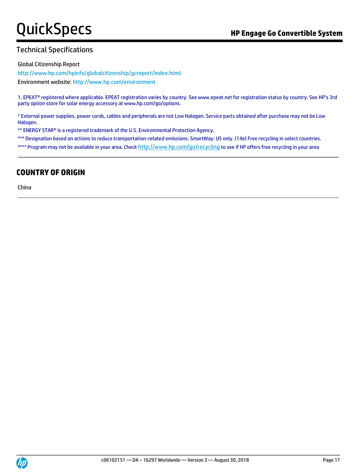## Technical Specifications

Global Citizenship Report

<http://www.hp.com/hpinfo/globalcitizenship/gcreport/index.html>

Environment website[: http://www.hp.com/environment](http://www.hp.com/environment)

1. EPEAT® registered where applicable. EPEAT registration varies by country. See www.epeat.net for registration status by country. See HP's 3rd party option store for solar energy accessory at www.hp.com/go/options.

\* External power supplies, power cords, cables and peripherals are not Low Halogen. Service parts obtained after purchase may not be Low Halogen.

\*\* ENERGY STAR® is a registered trademark of the U.S. Environmental Protection Agency.

\*\*\* Designation based on actions to reduce transportation-related emissions. SmartWay: US only. (14e) Free recycling in select countries.

\*\*\*\* Program may not be available in your area. Check http://www.hp.com/go/recycling to see if HP offers free recycling in your area

## **COUNTRY OF ORIGIN**

China

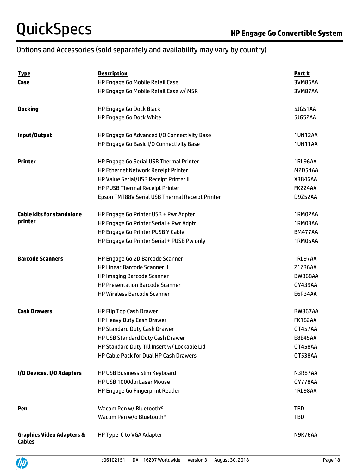## Options and Accessories (sold separately and availability may vary by country)

| <u>Type</u>                                           | <b>Description</b>                              | Part#          |
|-------------------------------------------------------|-------------------------------------------------|----------------|
| Case                                                  | HP Engage Go Mobile Retail Case                 | 3VM86AA        |
|                                                       | HP Engage Go Mobile Retail Case w/ MSR          | 3VM87AA        |
| <b>Docking</b>                                        | <b>HP Engage Go Dock Black</b>                  | 5JG51AA        |
|                                                       | <b>HP Engage Go Dock White</b>                  | 5JG52AA        |
| Input/Output                                          | HP Engage Go Advanced I/O Connectivity Base     | <b>1UN12AA</b> |
|                                                       | HP Engage Go Basic I/O Connectivity Base        | <b>1UN11AA</b> |
| <b>Printer</b>                                        | HP Engage Go Serial USB Thermal Printer         | <b>1RL96AA</b> |
|                                                       | <b>HP Ethernet Network Receipt Printer</b>      | M2D54AA        |
|                                                       | HP Value Serial/USB Receipt Printer II          | X3B46AA        |
|                                                       | HP PUSB Thermal Receipt Printer                 | FK224AA        |
|                                                       | Epson TMT88V Serial USB Thermal Receipt Printer | D9Z52AA        |
| <b>Cable kits for standalone</b>                      | HP Engage Go Printer USB + Pwr Adpter           | 1RM02AA        |
| printer                                               | HP Engage Go Printer Serial + Pwr Adptr         | 1RM03AA        |
|                                                       | HP Engage Go Printer PUSB Y Cable               | <b>BM477AA</b> |
|                                                       | HP Engage Go Printer Serial + PUSB Pw only      | 1RM05AA        |
| <b>Barcode Scanners</b>                               | HP Engage Go 2D Barcode Scanner                 | 1RL97AA        |
|                                                       | <b>HP Linear Barcode Scanner II</b>             | Z1Z36AA        |
|                                                       | <b>HP Imaging Barcode Scanner</b>               | <b>BW868AA</b> |
|                                                       | <b>HP Presentation Barcode Scanner</b>          | QY439AA        |
|                                                       | <b>HP Wireless Barcode Scanner</b>              | E6P34AA        |
| <b>Cash Drawers</b>                                   | HP Flip Top Cash Drawer                         | <b>BW867AA</b> |
|                                                       | HP Heavy Duty Cash Drawer                       | <b>FK182AA</b> |
|                                                       | <b>HP Standard Duty Cash Drawer</b>             | QT457AA        |
|                                                       | HP USB Standard Duty Cash Drawer                | <b>E8E45AA</b> |
|                                                       | HP Standard Duty Till Insert w/ Lockable Lid    | QT458AA        |
|                                                       | HP Cable Pack for Dual HP Cash Drawers          | QT538AA        |
| I/O Devices, I/O Adapters                             | HP USB Business Slim Keyboard                   | N3R87AA        |
|                                                       | HP USB 1000dpi Laser Mouse                      | QY778AA        |
|                                                       | HP Engage Go Fingerprint Reader                 | <b>1RL98AA</b> |
| Pen                                                   | Wacom Pen w/ Bluetooth <sup>®</sup>             | <b>TBD</b>     |
|                                                       | Wacom Pen w/o Bluetooth <sup>®</sup>            | <b>TBD</b>     |
| <b>Graphics Video Adapters &amp;</b><br><b>Cables</b> | HP Type-C to VGA Adapter                        | N9K76AA        |

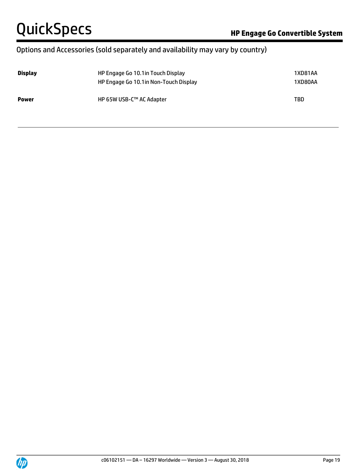## Options and Accessories (sold separately and availability may vary by country)

| <b>Display</b> | HP Engage Go 10.1 in Touch Display<br>HP Engage Go 10.1 in Non-Touch Display | 1XD81AA<br>1XD80AA |  |
|----------------|------------------------------------------------------------------------------|--------------------|--|
| <b>Power</b>   | HP 65W USB-C™ AC Adapter                                                     | <b>TBD</b>         |  |

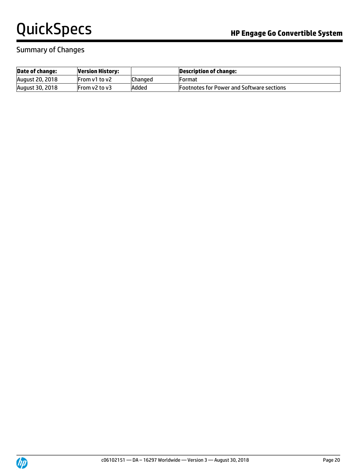### Summary of Changes

| Date of change:        | <b>Version History:</b> |         | Description of change:                           |
|------------------------|-------------------------|---------|--------------------------------------------------|
| August 20, 2018        | From v1 to v2           | Changed | <b>IFormat</b>                                   |
| <b>August 30, 2018</b> | From v2 to v3           | Added   | <b>Footnotes for Power and Software sections</b> |